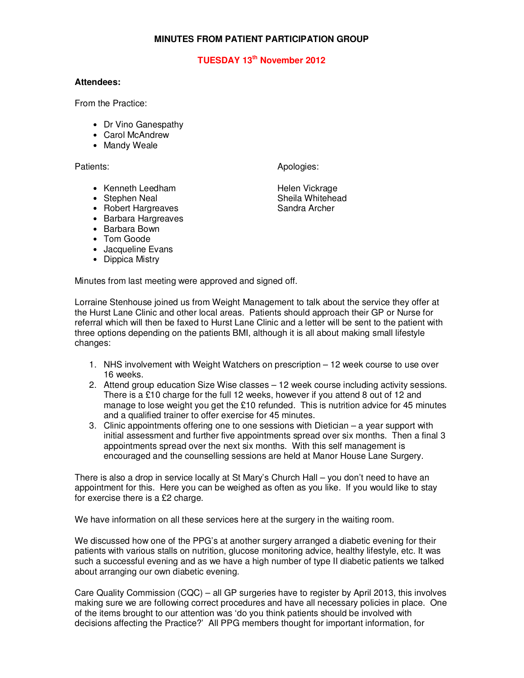## **MINUTES FROM PATIENT PARTICIPATION GROUP**

## **TUESDAY 13th November 2012**

## **Attendees:**

From the Practice:

- Dr Vino Ganespathy
- Carol McAndrew
- Mandy Weale

Patients: Apologies: Apologies: Apologies: Apologies: Apologies: Apologies: Apologies: Apologies: Apologies: Apologies: Apologies: Apologies: Apologies: Apologies: Apologies: Apologies: Apologies: Apologies: Apologies: Apo

Sheila Whitehead

- Kenneth Leedham **Helen Vickrage**<br>• Stephen Neal **Helen Stephen Neal**
- 
- Robert Hargreaves Sandra Archer
- Barbara Hargreaves
- Barbara Bown
- Tom Goode
- Jacqueline Evans
- Dippica Mistry

Minutes from last meeting were approved and signed off.

Lorraine Stenhouse joined us from Weight Management to talk about the service they offer at the Hurst Lane Clinic and other local areas. Patients should approach their GP or Nurse for referral which will then be faxed to Hurst Lane Clinic and a letter will be sent to the patient with three options depending on the patients BMI, although it is all about making small lifestyle changes:

- 1. NHS involvement with Weight Watchers on prescription 12 week course to use over 16 weeks.
- 2. Attend group education Size Wise classes 12 week course including activity sessions. There is a £10 charge for the full 12 weeks, however if you attend 8 out of 12 and manage to lose weight you get the £10 refunded. This is nutrition advice for 45 minutes and a qualified trainer to offer exercise for 45 minutes.
- 3. Clinic appointments offering one to one sessions with Dietician a year support with initial assessment and further five appointments spread over six months. Then a final 3 appointments spread over the next six months. With this self management is encouraged and the counselling sessions are held at Manor House Lane Surgery.

There is also a drop in service locally at St Mary's Church Hall – you don't need to have an appointment for this. Here you can be weighed as often as you like. If you would like to stay for exercise there is a £2 charge.

We have information on all these services here at the surgery in the waiting room.

We discussed how one of the PPG's at another surgery arranged a diabetic evening for their patients with various stalls on nutrition, glucose monitoring advice, healthy lifestyle, etc. It was such a successful evening and as we have a high number of type II diabetic patients we talked about arranging our own diabetic evening.

Care Quality Commission (CQC) – all GP surgeries have to register by April 2013, this involves making sure we are following correct procedures and have all necessary policies in place. One of the items brought to our attention was 'do you think patients should be involved with decisions affecting the Practice?' All PPG members thought for important information, for